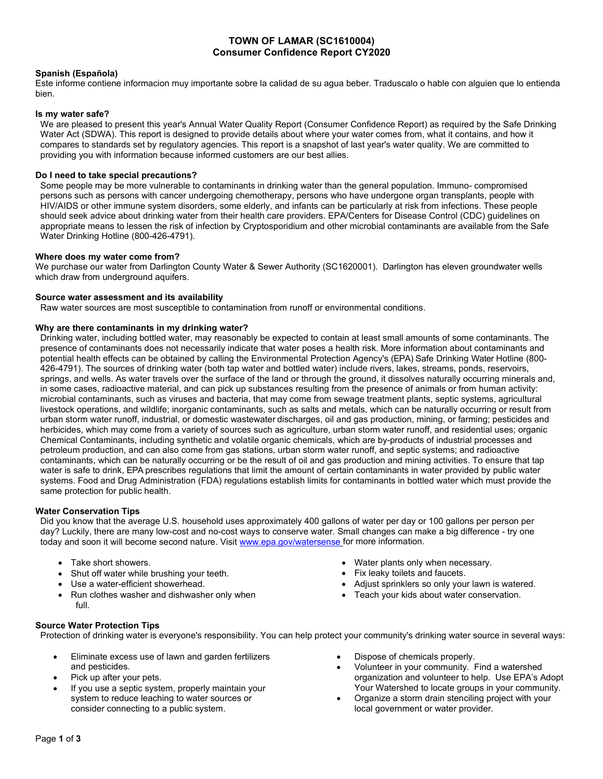# **TOWN OF LAMAR (SC1610004) Consumer Confidence Report CY2020**

## **Spanish (Española)**

Este informe contiene informacion muy importante sobre la calidad de su agua beber. Traduscalo o hable con alguien que lo entienda bien.

### **Is my water safe?**

We are pleased to present this year's Annual Water Quality Report (Consumer Confidence Report) as required by the Safe Drinking Water Act (SDWA). This report is designed to provide details about where your water comes from, what it contains, and how it compares to standards set by regulatory agencies. This report is a snapshot of last year's water quality. We are committed to providing you with information because informed customers are our best allies.

### **Do I need to take special precautions?**

Some people may be more vulnerable to contaminants in drinking water than the general population. Immuno- compromised persons such as persons with cancer undergoing chemotherapy, persons who have undergone organ transplants, people with HIV/AIDS or other immune system disorders, some elderly, and infants can be particularly at risk from infections. These people should seek advice about drinking water from their health care providers. EPA/Centers for Disease Control (CDC) guidelines on appropriate means to lessen the risk of infection by Cryptosporidium and other microbial contaminants are available from the Safe Water Drinking Hotline (800-426-4791).

#### **Where does my water come from?**

We purchase our water from Darlington County Water & Sewer Authority (SC1620001). Darlington has eleven groundwater wells which draw from underground aquifers.

#### **Source water assessment and its availability**

Raw water sources are most susceptible to contamination from runoff or environmental conditions.

#### **Why are there contaminants in my drinking water?**

Drinking water, including bottled water, may reasonably be expected to contain at least small amounts of some contaminants. The presence of contaminants does not necessarily indicate that water poses a health risk. More information about contaminants and potential health effects can be obtained by calling the Environmental Protection Agency's (EPA) Safe Drinking Water Hotline (800- 426-4791). The sources of drinking water (both tap water and bottled water) include rivers, lakes, streams, ponds, reservoirs, springs, and wells. As water travels over the surface of the land or through the ground, it dissolves naturally occurring minerals and, in some cases, radioactive material, and can pick up substances resulting from the presence of animals or from human activity: microbial contaminants, such as viruses and bacteria, that may come from sewage treatment plants, septic systems, agricultural livestock operations, and wildlife; inorganic contaminants, such as salts and metals, which can be naturally occurring or result from urban storm water runoff, industrial, or domestic wastewater discharges, oil and gas production, mining, or farming; pesticides and herbicides, which may come from a variety of sources such as agriculture, urban storm water runoff, and residential uses; organic Chemical Contaminants, including synthetic and volatile organic chemicals, which are by-products of industrial processes and petroleum production, and can also come from gas stations, urban storm water runoff, and septic systems; and radioactive contaminants, which can be naturally occurring or be the result of oil and gas production and mining activities. To ensure that tap water is safe to drink, EPA prescribes regulations that limit the amount of certain contaminants in water provided by public water systems. Food and Drug Administration (FDA) regulations establish limits for contaminants in bottled water which must provide the same protection for public health.

### **Water Conservation Tips**

Did you know that the average U.S. household uses approximately 400 gallons of water per day or 100 gallons per person per day? Luckily, there are many low-cost and no-cost ways to conserve water. Small changes can make a big difference - try one today and soon it will become second nature. Visit [www.epa.gov/watersense](http://www.epa.gov/watersense) for more information.

- Take short showers.
- Shut off water while brushing your teeth.
- Use a water-efficient showerhead.
- Run clothes washer and dishwasher only when full.
- Water plants only when necessary.
- Fix leaky toilets and faucets.
- Adjust sprinklers so only your lawn is watered.
- Teach your kids about water conservation.

### **Source Water Protection Tips**

Protection of drinking water is everyone's responsibility. You can help protect your community's drinking water source in several ways:

- Eliminate excess use of lawn and garden fertilizers and pesticides.
- Pick up after your pets.
- If you use a septic system, properly maintain your system to reduce leaching to water sources or consider connecting to a public system.
- Dispose of chemicals properly.
- Volunteer in your community. Find a watershed organization and volunteer to help. Use EPA's Adopt Your Watershed to locate groups in your community.
- Organize a storm drain stenciling project with your local government or water provider.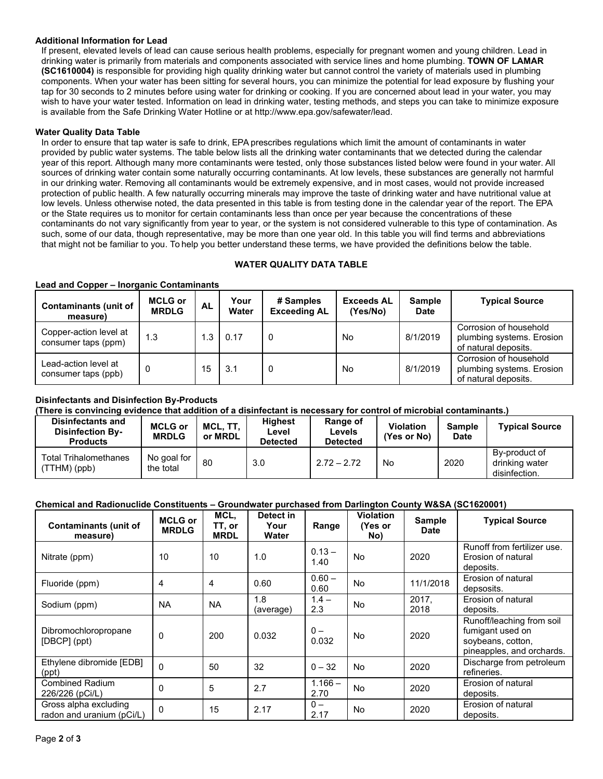# **Additional Information for Lead**

If present, elevated levels of lead can cause serious health problems, especially for pregnant women and young children. Lead in drinking water is primarily from materials and components associated with service lines and home plumbing. **TOWN OF LAMAR (SC1610004)** is responsible for providing high quality drinking water but cannot control the variety of materials used in plumbing components. When your water has been sitting for several hours, you can minimize the potential for lead exposure by flushing your tap for 30 seconds to 2 minutes before using water for drinking or cooking. If you are concerned about lead in your water, you may wish to have your water tested. Information on lead in drinking water, testing methods, and steps you can take to minimize exposure is available from the Safe Drinking [Water Hotline or at http://www.epa.gov/safewater/lead.](http://www.epa.gov/safewater/lead)

## **Water Quality Data Table**

In order to ensure that tap water is safe to drink, EPA prescribes regulations which limit the amount of contaminants in water provided by public water systems. The table below lists all the drinking water contaminants that we detected during the calendar year of this report. Although many more contaminants were tested, only those substances listed below were found in your water. All sources of drinking water contain some naturally occurring contaminants. At low levels, these substances are generally not harmful in our drinking water. Removing all contaminants would be extremely expensive, and in most cases, would not provide increased protection of public health. A few naturally occurring minerals may improve the taste of drinking water and have nutritional value at low levels. Unless otherwise noted, the data presented in this table is from testing done in the calendar year of the report. The EPA or the State requires us to monitor for certain contaminants less than once per year because the concentrations of these contaminants do not vary significantly from year to year, or the system is not considered vulnerable to this type of contamination. As such, some of our data, though representative, may be more than one year old. In this table you will find terms and abbreviations that might not be familiar to you. To help you better understand these terms, we have provided the definitions below the table.

# **WATER QUALITY DATA TABLE**

| <b>Contaminants (unit of</b><br>measure)      | <b>MCLG or</b><br><b>MRDLG</b> | AL  | Your<br>Water | # Samples<br><b>Exceeding AL</b> | <b>Exceeds AL</b><br>(Yes/No) | <b>Sample</b><br><b>Date</b> | <b>Typical Source</b>                                                       |
|-----------------------------------------------|--------------------------------|-----|---------------|----------------------------------|-------------------------------|------------------------------|-----------------------------------------------------------------------------|
| Copper-action level at<br>consumer taps (ppm) | 1.3                            | 1.3 | 0.17          | 0                                | No                            | 8/1/2019                     | Corrosion of household<br>plumbing systems. Erosion<br>of natural deposits. |
| Lead-action level at<br>consumer taps (ppb)   |                                | 15  | 3.1           | 0                                | No                            | 8/1/2019                     | Corrosion of household<br>plumbing systems. Erosion<br>of natural deposits. |

#### **Lead and Copper – Inorganic Contaminants**

# **Disinfectants and Disinfection By-Products**

**(There is convincing evidence that addition of a disinfectant is necessary for control of microbial contaminants.)**

| Disinfectants and<br><b>Disinfection By-</b><br><b>Products</b> | <b>MCLG or</b><br><b>MRDLG</b> | MCL, TT,<br>or MRDL | <b>Highest</b><br>Level<br><b>Detected</b> | Range of<br>Levels<br><b>Detected</b> | <b>Violation</b><br>(Yes or No) | <b>Sample</b><br><b>Date</b> | <b>Typical Source</b>                            |
|-----------------------------------------------------------------|--------------------------------|---------------------|--------------------------------------------|---------------------------------------|---------------------------------|------------------------------|--------------------------------------------------|
| <b>Total Trihalomethanes</b><br>(TTHM) (ppb)                    | No goal for<br>the total       | 80                  | 3.0                                        | $2.72 - 2.72$                         | No                              | 2020                         | By-product of<br>drinking water<br>disinfection. |

# **Chemical and Radionuclide Constituents – Groundwater purchased from Darlington County W&SA (SC1620001)**

| <b>Contaminants (unit of</b><br>measure)           | <b>MCLG or</b><br><b>MRDLG</b> | MCL.<br>TT, or<br><b>MRDL</b> | Detect in<br>Your<br>Water | Range             | <b>Violation</b><br>(Yes or<br>No) | Sample<br>Date | <b>Typical Source</b>                                                                           |
|----------------------------------------------------|--------------------------------|-------------------------------|----------------------------|-------------------|------------------------------------|----------------|-------------------------------------------------------------------------------------------------|
| Nitrate (ppm)                                      | 10                             | 10                            | 1.0                        | $0.13 -$<br>1.40  | <b>No</b>                          | 2020           | Runoff from fertilizer use.<br>Erosion of natural<br>deposits.                                  |
| Fluoride (ppm)                                     | 4                              | 4                             | 0.60                       | $0.60 -$<br>0.60  | <b>No</b>                          | 11/1/2018      | Erosion of natural<br>depsosits.                                                                |
| Sodium (ppm)                                       | <b>NA</b>                      | <b>NA</b>                     | 1.8<br>(average)           | $1.4 -$<br>2.3    | <b>No</b>                          | 2017.<br>2018  | Erosion of natural<br>deposits.                                                                 |
| Dibromochloropropane<br>[DBCP] (ppt)               | $\Omega$                       | 200                           | 0.032                      | $0 -$<br>0.032    | <b>No</b>                          | 2020           | Runoff/leaching from soil<br>fumigant used on<br>soybeans, cotton,<br>pineapples, and orchards. |
| Ethylene dibromide [EDB]<br>(ppt)                  | $\Omega$                       | 50                            | 32                         | $0 - 32$          | <b>No</b>                          | 2020           | Discharge from petroleum<br>refineries.                                                         |
| <b>Combined Radium</b><br>226/226 (pCi/L)          | $\mathbf{0}$                   | 5                             | 2.7                        | $1.166 -$<br>2.70 | No.                                | 2020           | Erosion of natural<br>deposits.                                                                 |
| Gross alpha excluding<br>radon and uranium (pCi/L) | $\Omega$                       | 15                            | 2.17                       | $0 -$<br>2.17     | No                                 | 2020           | Erosion of natural<br>deposits.                                                                 |